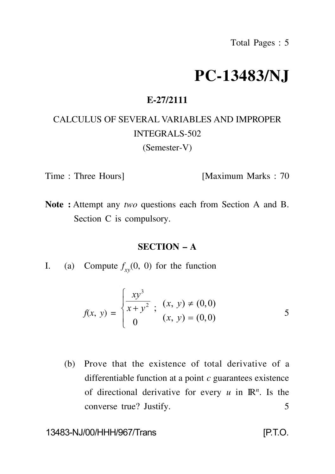# **PC-13483/NJ**

## **E-27/2111**

# CALCULUS OF SEVERAL VARIABLES AND IMPROPER INTEGRALS-502 (Semester-V)

Time : Three Hours] [Maximum Marks : 70

**Note :** Attempt any *two* questions each from Section A and B. Section C is compulsory.

#### **SECTION – A**

I. (a) Compute  $f_{xy}(0, 0)$  for the function

$$
f(x, y) = \begin{cases} \frac{xy^3}{x + y^2}, & (x, y) \neq (0, 0) \\ 0 & (x, y) = (0, 0) \end{cases}
$$
 5

(b) Prove that the existence of total derivative of a differentiable function at a point *c* guarantees existence of directional derivative for every  $u$  in  $\mathbb{R}^n$ . Is the converse true? Justify. 5

### 13483-NJ/00/HHH/967/Trans [P.T.O.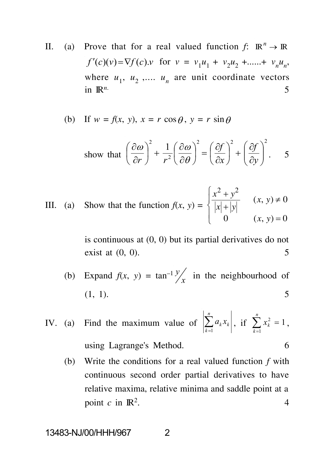II. (a) Prove that for a real valued function  $f: \mathbb{R}^n \to \mathbb{R}$ *f'*(*c*)(*v*)= $\nabla f(c)$ .*v* for  $v = v_1 u_1 + v_2 u_2 + \dots + v_n u_n$ , where  $u_1$ ,  $u_2$ ,....  $u_n$  are unit coordinate vectors in  $\mathbb{R}^n$ . 5

(b) If 
$$
w = f(x, y)
$$
,  $x = r \cos \theta$ ,  $y = r \sin \theta$ 

show that 
$$
\left(\frac{\partial \omega}{\partial r}\right)^2 + \frac{1}{r^2} \left(\frac{\partial \omega}{\partial \theta}\right)^2 = \left(\frac{\partial f}{\partial x}\right)^2 + \left(\frac{\partial f}{\partial y}\right)^2
$$
. 5

III. (a) Show that the function  $f(x, y) =$  $\begin{pmatrix} 1 & 0 \\ 0 & x, y \end{pmatrix} = 0$  $\frac{x+y}{1+1+1}$   $(x, y) \neq 0$  $\left| x \right| + \left| y \right|$  $\int x^2 + y^2$  $= 0$  $\neq 0$  $+|y|$  $+y^2$  (x, y) + 0 0  $(x, y) = 0$  $(x, y) \neq 0$  $2^{2}$   $\mu$   $\alpha$ <sup>2</sup>  $(x, y) = 0$  $(x, y) \neq 0$  $x$   $+$   $|y|$   $\qquad \qquad$  *y*  $\qquad$  *y*  $\qquad$  *y*  $\qquad$  *y*  $\qquad$  *y*  $\qquad$  *y*  $\qquad$  *y*  $\qquad$  *y*  $\qquad$  *y*  $\qquad$  *y*  $\qquad$  *y*  $\qquad$  *y*  $\qquad$  *y*  $\qquad$  *y*  $\qquad$  *y*  $\qquad$  *y*  $\qquad$  *y*  $\qquad$  *y*  $\qquad$  *y*  $\qquad$  *y*  $\qquad$  $x^2 + y^2$  (*x*, *y*) + 0

> is continuous at (0, 0) but its partial derivatives do not exist at  $(0, 0)$ . 5

(b) Expand  $f(x, y) = \tan^{-1} \frac{y}{x}$  in the neighbourhood of  $y'$  in the neighbourhood of (1, 1). 5

IV. (a) Find the maximum value of 
$$
\left|\sum_{k=1}^{n} a_k x_k\right|
$$
, if  $\sum_{k=1}^{n} x_k^2 = 1$ ,  
using Lagrange's Method.

(b) Write the conditions for a real valued function *f* with continuous second order partial derivatives to have relative maxima, relative minima and saddle point at a point  $c$  in  $\mathbb{R}^2$ . . 4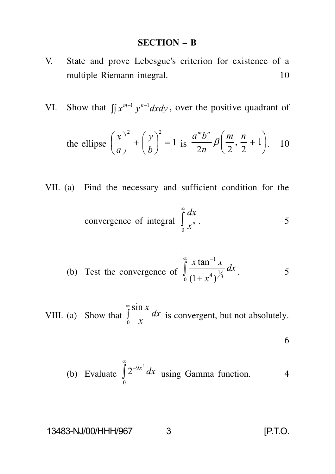# **SECTION – B**

- V. State and prove Lebesgue's criterion for existence of a multiple Riemann integral. 10
- VI. Show that  $\iint x^{m-1} y^{n-1} dx dy$ , over the positive quadrant of

the ellipse 
$$
\left(\frac{x}{a}\right)^2 + \left(\frac{y}{b}\right)^2 = 1
$$
 is  $\frac{a^m b^n}{2n} \beta \left(\frac{m}{2}, \frac{n}{2} + 1\right)$ . 10

VII. (a) Find the necessary and sufficient condition for the

convergence of integral 
$$
\int_{0}^{\infty} \frac{dx}{x^n}
$$
.

(b) Test the convergence of 
$$
\int_{0}^{\infty} \frac{x \tan^{-1} x}{(1 + x^4)^{\frac{1}{3}}} dx
$$
.

VIII. (a) Show that  $\int_{0}^{\infty} \frac{\sin x}{x} dx$  is convergent, but not a  $\frac{\sin x}{x}$  *dx* is convergent, but not absolutely. *x x* is convergent, but not absolutely.

6

(b) Evaluate 
$$
\int_{0}^{\infty} 2^{-9x^2} dx
$$
 using Gamma function. 4

13483-NJ/00/HHH/967 3 [P.T.O.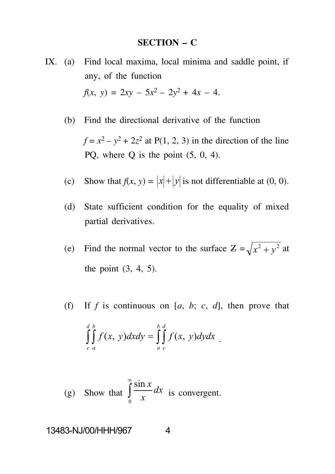#### **SECTION – C**

IX. (a) Find local maxima, local minima and saddle point, if any, of the function  $f(x, y) = 2xy - 5x^2 - 2y^2 + 4x - 4.$ 

(b) Find the directional derivative of the function

 $f = x^2 - y^2 + 2z^2$  at P(1, 2, 3) in the direction of the line PO, where O is the point  $(5, 0, 4)$ .

- (c) Show that  $f(x, y) = |x| + |y|$  is not differentiable at (0, 0).
- (d) State sufficient condition for the equality of mixed partial derivatives.
- (e) Find the normal vector to the surface  $Z = \sqrt{x^2 + y^2}$  at the point (3, 4, 5).
- (f) If *f* is continuous on [a, b; c, d], then prove that  $\int \int f(x, y) dx dy = \int \int f(x, y) dy dx$  $\int_{c}^{d} \int_{a}^{b} f(x, y) dx dy = \int_{a}^{b} \int_{c}^{d} f(x, y) dy dx$ *a a*  $f(x, y)dx dy = \iint f(x, y)dy dx$ .

(g) Show that 
$$
\int_{0}^{\infty} \frac{\sin x}{x} dx
$$
 is convergent.

13483-NJ/00/HHH/967 4